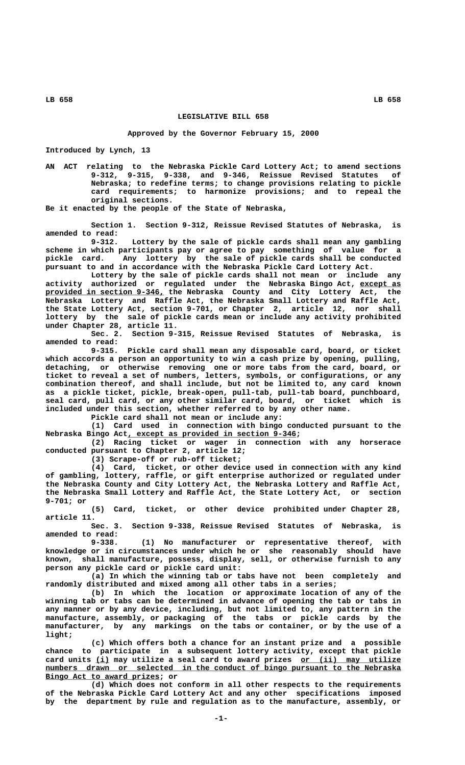**LB 658 LB 658**

## **LEGISLATIVE BILL 658**

## **Approved by the Governor February 15, 2000**

**Introduced by Lynch, 13**

**AN ACT relating to the Nebraska Pickle Card Lottery Act; to amend sections 9-312, 9-315, 9-338, and 9-346, Reissue Revised Statutes of Nebraska; to redefine terms; to change provisions relating to pickle card requirements; to harmonize provisions; and to repeal the original sections.**

**Be it enacted by the people of the State of Nebraska,**

**Section 1. Section 9-312, Reissue Revised Statutes of Nebraska, is amended to read:**

Lottery by the sale of pickle cards shall mean any gambling **scheme in which participants pay or agree to pay something of value for a pickle card. Any lottery by the sale of pickle cards shall be conducted pursuant to and in accordance with the Nebraska Pickle Card Lottery Act.**

**Lottery by the sale of pickle cards shall not mean or include any activity authorized or regulated under the Nebraska Bingo Act, except as \_\_\_\_\_\_\_\_\_ \_\_\_\_\_\_\_\_\_\_\_\_\_\_\_\_\_\_\_\_\_\_\_\_\_\_ provided in section 9-346, the Nebraska County and City Lottery Act, the Nebraska Lottery and Raffle Act, the Nebraska Small Lottery and Raffle Act, the State Lottery Act, section 9-701, or Chapter 2, article 12, nor shall lottery by the sale of pickle cards mean or include any activity prohibited under Chapter 28, article 11.**

**Sec. 2. Section 9-315, Reissue Revised Statutes of Nebraska, is amended to read:**

**9-315. Pickle card shall mean any disposable card, board, or ticket which accords a person an opportunity to win a cash prize by opening, pulling, detaching, or otherwise removing one or more tabs from the card, board, or ticket to reveal a set of numbers, letters, symbols, or configurations, or any combination thereof, and shall include, but not be limited to, any card known as a pickle ticket, pickle, break-open, pull-tab, pull-tab board, punchboard, seal card, pull card, or any other similar card, board, or ticket which is included under this section, whether referred to by any other name.**

**Pickle card shall not mean or include any:**

**(1) Card used in connection with bingo conducted pursuant to the \_\_\_\_\_\_\_\_\_\_\_\_\_\_\_\_\_\_\_\_\_\_\_\_\_\_\_\_\_\_\_\_\_\_\_\_\_ Nebraska Bingo Act, except as provided in section 9-346;**

**(2) Racing ticket or wager in connection with any horserace conducted pursuant to Chapter 2, article 12;**

**(3) Scrape-off or rub-off ticket;**

**(4) Card, ticket, or other device used in connection with any kind of gambling, lottery, raffle, or gift enterprise authorized or regulated under the Nebraska County and City Lottery Act, the Nebraska Lottery and Raffle Act, the Nebraska Small Lottery and Raffle Act, the State Lottery Act, or section 9-701; or**

**(5) Card, ticket, or other device prohibited under Chapter 28, article 11.**

**Sec. 3. Section 9-338, Reissue Revised Statutes of Nebraska, is amended to read:**

**9-338. (1) No manufacturer or representative thereof, with knowledge or in circumstances under which he or she reasonably should have known, shall manufacture, possess, display, sell, or otherwise furnish to any person any pickle card or pickle card unit:**

**(a) In which the winning tab or tabs have not been completely and randomly distributed and mixed among all other tabs in a series;**

**(b) In which the location or approximate location of any of the winning tab or tabs can be determined in advance of opening the tab or tabs in any manner or by any device, including, but not limited to, any pattern in the manufacture, assembly, or packaging of the tabs or pickle cards by the manufacturer, by any markings on the tabs or container, or by the use of a light;**

**(c) Which offers both a chance for an instant prize and a possible chance to participate in a subsequent lottery activity, except that pickle** card units (i) may utilize a seal card to award prizes or (ii) may utilize  $numbers$  drawn or selected in the conduct of bingo pursuant to the Nebraska  **\_\_\_\_\_\_\_\_\_\_\_\_\_\_\_\_\_\_\_\_\_\_\_\_\_ Bingo Act to award prizes; or**

**(d) Which does not conform in all other respects to the requirements of the Nebraska Pickle Card Lottery Act and any other specifications imposed by the department by rule and regulation as to the manufacture, assembly, or**